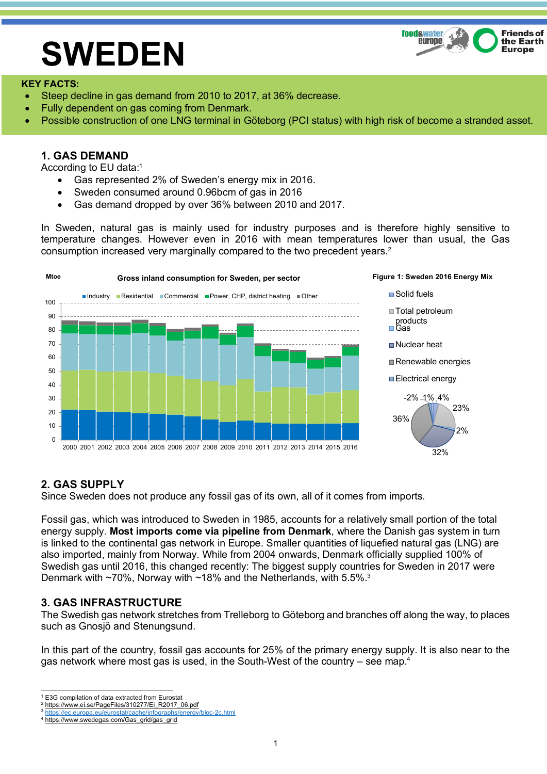#### **food&water Friends of** europe the Earth **Europe**

# **SWEDEN**

#### **KEY FACTS:**

- Steep decline in gas demand from 2010 to 2017, at 36% decrease.
- Fully dependent on gas coming from Denmark.
- Possible construction of one LNG terminal in Göteborg (PCI status) with high risk of become a stranded asset.

### **1. GAS DEMAND**

According to EU data:1

- Gas represented 2% of Sweden's energy mix in 2016.
- Sweden consumed around 0.96bcm of gas in 2016
- Gas demand dropped by over 36% between 2010 and 2017.

In Sweden, natural gas is mainly used for industry purposes and is therefore highly sensitive to temperature changes. However even in 2016 with mean temperatures lower than usual, the Gas consumption increased very marginally compared to the two precedent years. 2



# **2. GAS SUPPLY**

Since Sweden does not produce any fossil gas of its own, all of it comes from imports.

Fossil gas, which was introduced to Sweden in 1985, accounts for a relatively small portion of the total energy supply. **Most imports come via pipeline from Denmark**, where the Danish gas system in turn is linked to the continental gas network in Europe. Smaller quantities of liquefied natural gas (LNG) are also imported, mainly from Norway. While from 2004 onwards, Denmark officially supplied 100% of Swedish gas until 2016, this changed recently: The biggest supply countries for Sweden in 2017 were Denmark with ~70%, Norway with ~18% and the Netherlands, with 5.5%.<sup>3</sup>

# **3. GAS INFRASTRUCTURE**

The Swedish gas network stretches from Trelleborg to Göteborg and branches off along the way, to places such as Gnosjö and Stenungsund.

In this part of the country, fossil gas accounts for 25% of the primary energy supply. It is also near to the gas network where most gas is used, in the South-West of the country – see map.<sup>4</sup>

<sup>&</sup>lt;sup>1</sup> E3G compilation of data extracted from Eurostat

<sup>2</sup> https://www.ei.se/PageFiles/310277/Ei\_R2017\_06.pdf

https://ec.europa.eu/eurostat/cache/infographs/energy/bloc-2c.html

<sup>4</sup> https://www.swedegas.com/Gas\_grid/gas\_grid